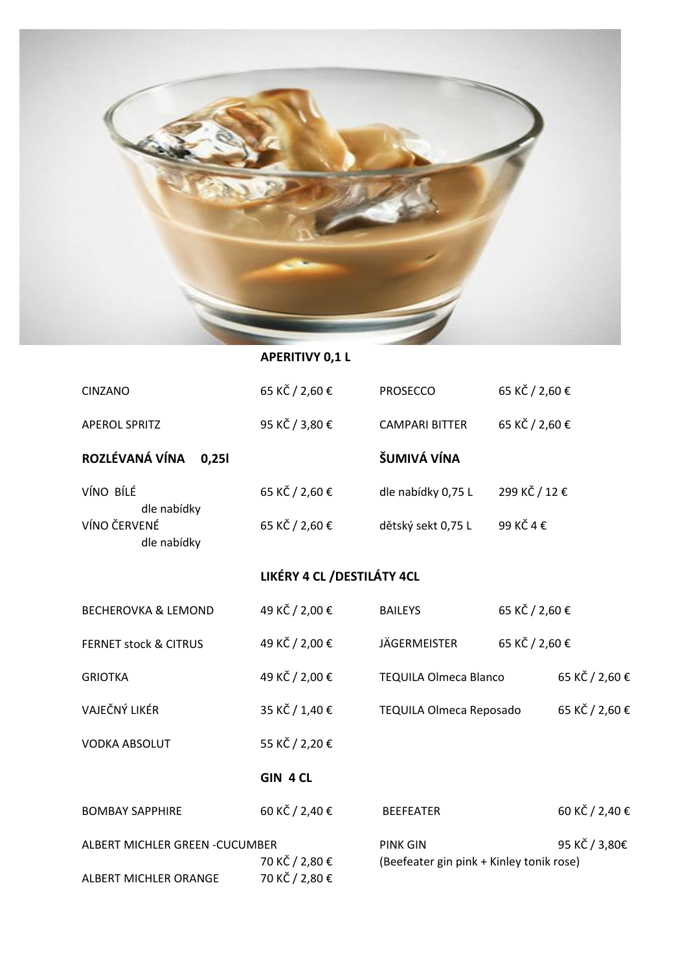

## **APERITIVY 0,1 L**

| <b>CINZANO</b>                                           | 65 KČ / 2,60 €                   | <b>PROSECCO</b>                                             | 65 KČ / 2,60 € |                |
|----------------------------------------------------------|----------------------------------|-------------------------------------------------------------|----------------|----------------|
| <b>APEROL SPRITZ</b>                                     | 95 KČ / 3,80 €                   | <b>CAMPARI BITTER</b>                                       | 65 KČ / 2,60 € |                |
| ROZLÉVANÁ VÍNA<br>0,251                                  |                                  | ŠUMIVÁ VÍNA                                                 |                |                |
| VÍNO BÍLÉ                                                | 65 KČ / 2,60 €                   | dle nabídky 0,75 L                                          | 299 KČ / 12 €  |                |
| dle nabídky<br>VÍNO ČERVENÉ<br>dle nabídky               | 65 KČ / 2,60 €                   | dětský sekt 0,75 L                                          | 99 KČ 4 €      |                |
|                                                          | LIKÉRY 4 CL / DESTILÁTY 4CL      |                                                             |                |                |
| <b>BECHEROVKA &amp; LEMOND</b>                           | 49 KČ / 2,00 €                   | <b>BAILEYS</b>                                              | 65 KČ / 2,60 € |                |
| <b>FERNET stock &amp; CITRUS</b>                         | 49 KČ / 2,00 €                   | <b>JÄGERMEISTER</b>                                         | 65 KČ / 2,60 € |                |
| <b>GRIOTKA</b>                                           | 49 KČ / 2,00 €                   | <b>TEQUILA Olmeca Blanco</b>                                |                | 65 KČ / 2,60 € |
| VAJEČNÝ LIKÉR                                            | 35 KČ / 1,40 €                   | TEQUILA Olmeca Reposado                                     |                | 65 KČ / 2,60 € |
| <b>VODKA ABSOLUT</b>                                     | 55 KČ / 2,20 €                   |                                                             |                |                |
|                                                          | GIN 4 CL                         |                                                             |                |                |
| <b>BOMBAY SAPPHIRE</b>                                   | 60 KČ / 2,40 €                   | <b>BEEFEATER</b>                                            |                | 60 KČ / 2,40 € |
| ALBERT MICHLER GREEN - CUCUMBER<br>ALBERT MICHLER ORANGE | 70 KČ / 2,80 €<br>70 KČ / 2,80 € | <b>PINK GIN</b><br>(Beefeater gin pink + Kinley tonik rose) |                | 95 KČ / 3,80€  |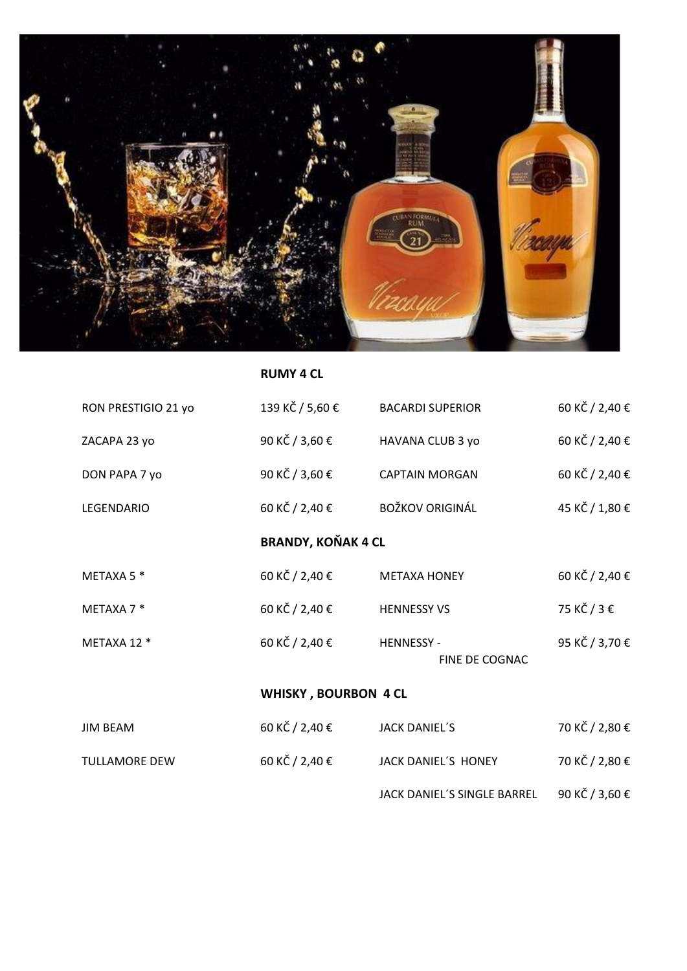

**RUMY 4 CL**

| RON PRESTIGIO 21 yo         | 139 KČ / 5,60 €           | <b>BACARDI SUPERIOR</b>             | 60 KČ / 2,40 € |  |
|-----------------------------|---------------------------|-------------------------------------|----------------|--|
| ZACAPA 23 yo                | 90 KČ / 3,60 €            | HAVANA CLUB 3 yo                    | 60 KČ / 2,40 € |  |
| DON PAPA 7 yo               | 90 KČ / 3,60 €            | <b>CAPTAIN MORGAN</b>               | 60 KČ / 2,40 € |  |
| <b>LEGENDARIO</b>           | 60 KČ / 2,40 €            | <b>BOŽKOV ORIGINÁL</b>              | 45 KČ / 1,80 € |  |
|                             | <b>BRANDY, KOŇAK 4 CL</b> |                                     |                |  |
| METAXA 5 *                  | 60 KČ / 2,40 €            | <b>METAXA HONEY</b>                 | 60 KČ / 2,40 € |  |
| METAXA 7 *                  | 60 KČ / 2,40 €            | <b>HENNESSY VS</b>                  | 75 KČ / 3 €    |  |
| METAXA 12 *                 | 60 KČ / 2,40 €            | <b>HENNESSY -</b><br>FINE DE COGNAC | 95 KČ / 3,70 € |  |
| <b>WHISKY, BOURBON 4 CL</b> |                           |                                     |                |  |
| <b>JIM BEAM</b>             | 60 KČ / 2,40 €            | <b>JACK DANIEL'S</b>                | 70 KČ / 2,80 € |  |
| <b>TULLAMORE DEW</b>        | 60 KČ / 2,40 €            | JACK DANIEL'S HONEY                 | 70 KČ / 2,80 € |  |
|                             |                           |                                     |                |  |

JACK DANIEL´S SINGLE BARREL 90 KČ / 3,60 €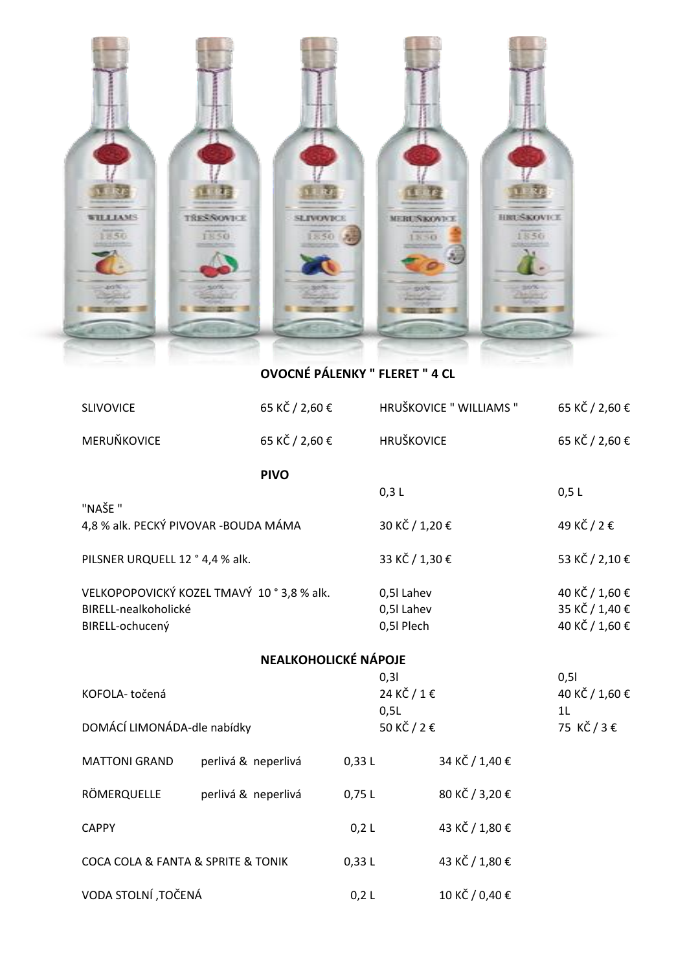

**OVOCNÉ PÁLENKY " FLERET " 4 CL**

| <b>SLIVOVICE</b>                      | 65 KČ / 2,60 €                           |            | HRUŠKOVICE " WILLIAMS " | 65 KČ / 2,60 €             |
|---------------------------------------|------------------------------------------|------------|-------------------------|----------------------------|
| MERUŇKOVICE                           | 65 KČ / 2,60 €                           |            | <b>HRUŠKOVICE</b>       | 65 KČ / 2,60 €             |
|                                       | <b>PIVO</b>                              |            |                         |                            |
| "NAŠE "                               |                                          | 0,3 L      |                         | 0,5L                       |
| 4,8 % alk. PECKÝ PIVOVAR - BOUDA MÁMA |                                          |            | 30 KČ / 1,20 €          | 49 KČ / 2 €                |
| PILSNER URQUELL 12 ° 4,4 % alk.       |                                          |            | 33 KČ / 1,30 €          | 53 KČ / 2,10 €             |
|                                       | VELKOPOPOVICKÝ KOZEL TMAVÝ 10°3,8 % alk. | 0,5l Lahev |                         | 40 KČ / 1,60 €             |
| BIRELL-nealkoholické                  |                                          | 0,5l Lahev |                         | 35 KČ / 1,40 €             |
| BIRELL-ochucený                       |                                          | 0,51 Plech |                         | 40 KČ / 1,60 €             |
| <b>NEALKOHOLICKÉ NÁPOJE</b>           |                                          |            |                         |                            |
|                                       |                                          | 0,31       |                         | 0,51                       |
| KOFOLA-točená                         |                                          |            | 24 KČ / 1 €             | 40 KČ / 1,60 €             |
| DOMÁCÍ LIMONÁDA-dle nabídky           |                                          | 0,5L       | 50 KČ / 2 €             | 1 <sub>L</sub><br>75 KČ/3€ |
|                                       |                                          |            |                         |                            |
| <b>MATTONI GRAND</b>                  | perlivá & neperlivá                      | 0,33L      | 34 KČ / 1,40 €          |                            |
| RÖMERQUELLE                           | perlivá & neperlivá                      | 0,75 L     | 80 KČ / 3,20 €          |                            |
| <b>CAPPY</b>                          |                                          | $0,2$ L    | 43 KČ / 1,80 €          |                            |
| COCA COLA & FANTA & SPRITE & TONIK    |                                          | 0,33L      | 43 KČ / 1,80 €          |                            |
| VODA STOLNÍ, TOČENÁ                   |                                          | 0,2 L      | 10 KČ / 0,40 €          |                            |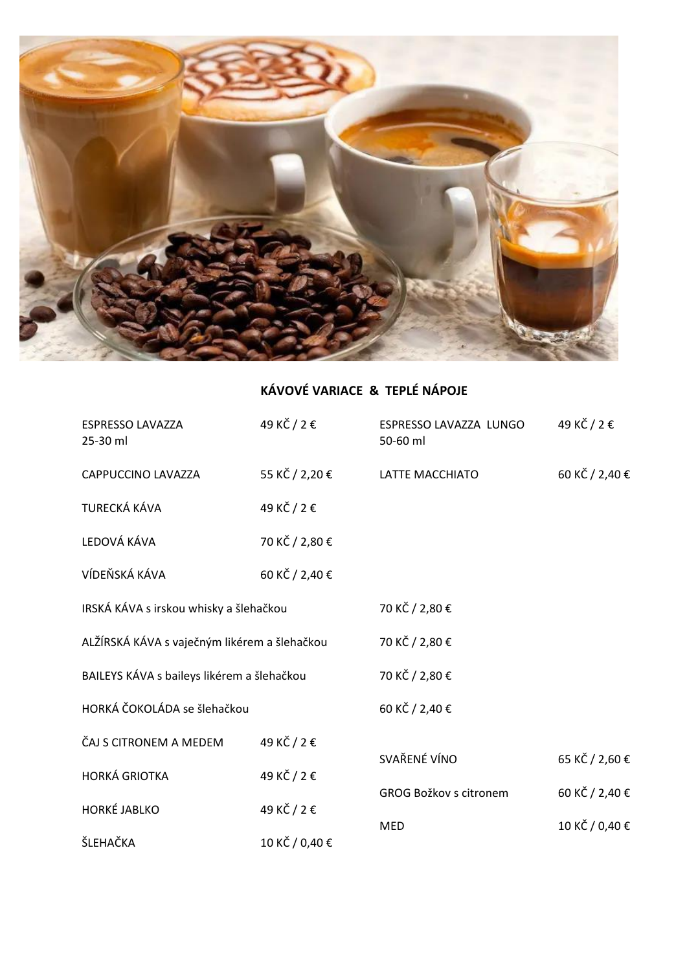

## **KÁVOVÉ VARIACE & TEPLÉ NÁPOJE**

| <b>ESPRESSO LAVAZZA</b><br>25-30 ml          | 49 KČ / 2 €    | ESPRESSO LAVAZZA LUNGO<br>50-60 ml | 49 KČ / 2 €    |
|----------------------------------------------|----------------|------------------------------------|----------------|
| CAPPUCCINO LAVAZZA                           | 55 KČ / 2,20 € | LATTE MACCHIATO                    | 60 KČ / 2,40 € |
| TURECKÁ KÁVA                                 | 49 KČ / 2 €    |                                    |                |
| LEDOVÁ KÁVA                                  | 70 KČ / 2,80 € |                                    |                |
| VÍDEŇSKÁ KÁVA                                | 60 KČ / 2,40 € |                                    |                |
| IRSKÁ KÁVA s irskou whisky a šlehačkou       |                | 70 KČ / 2,80 €                     |                |
| ALŽÍRSKÁ KÁVA s vaječným likérem a šlehačkou |                | 70 KČ / 2,80 €                     |                |
| BAILEYS KÁVA s baileys likérem a šlehačkou   |                | 70 KČ / 2,80 €                     |                |
| HORKÁ ČOKOLÁDA se šlehačkou                  |                | 60 KČ / 2,40 €                     |                |
| ČAJ S CITRONEM A MEDEM                       | 49 KČ / 2 €    | SVAŘENÉ VÍNO                       |                |
| <b>HORKÁ GRIOTKA</b>                         | 49 KČ / 2 €    |                                    | 65 KČ / 2,60 € |
| <b>HORKÉ JABLKO</b>                          | 49 KČ / 2 €    | GROG Božkov s citronem             | 60 KČ / 2,40 € |
| ŠLEHAČKA                                     | 10 KČ / 0,40 € | <b>MED</b>                         | 10 KČ / 0,40 € |